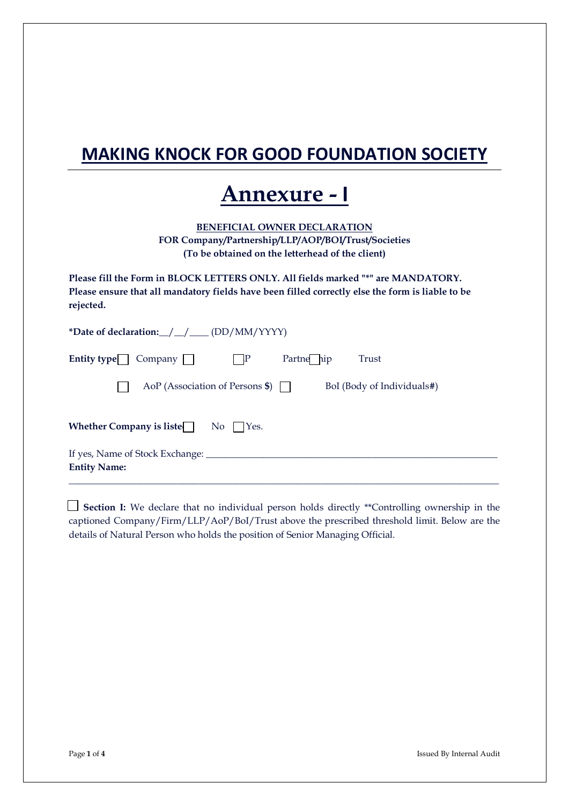## **MAKING KNOCK FOR GOOD FOUNDATION SOCIETY**

## **Annexure - I**

**BENEFICIAL OWNER DECLARATION FOR Company/Partnership/LLP/AOP/BOI/Trust/Societies (To be obtained on the letterhead of the client)**

**Please fill the Form in BLOCK LETTERS ONLY. All fields marked "\*" are MANDATORY. Please ensure that all mandatory fields have been filled correctly else the form is liable to be rejected.**

| *Date of declaration: / / / / (DD/MM/YYYY) |                                     |            |                            |
|--------------------------------------------|-------------------------------------|------------|----------------------------|
| Entity type<br>$Company \mid \mid$         |                                     | Partne hip | Trust                      |
|                                            | AoP (Association of Persons $\$\$ ) |            | BoI (Body of Individuals#) |
| Whether Company is liste                   | No  <br>Yes.                        |            |                            |
| If yes, Name of Stock Exchange: ______     |                                     |            |                            |
| <b>Entity Name:</b>                        |                                     |            |                            |

 **Section I:** We declare that no individual person holds directly \*\*Controlling ownership in the captioned Company/Firm/LLP/AoP/BoI/Trust above the prescribed threshold limit. Below are the details of Natural Person who holds the position of Senior Managing Official.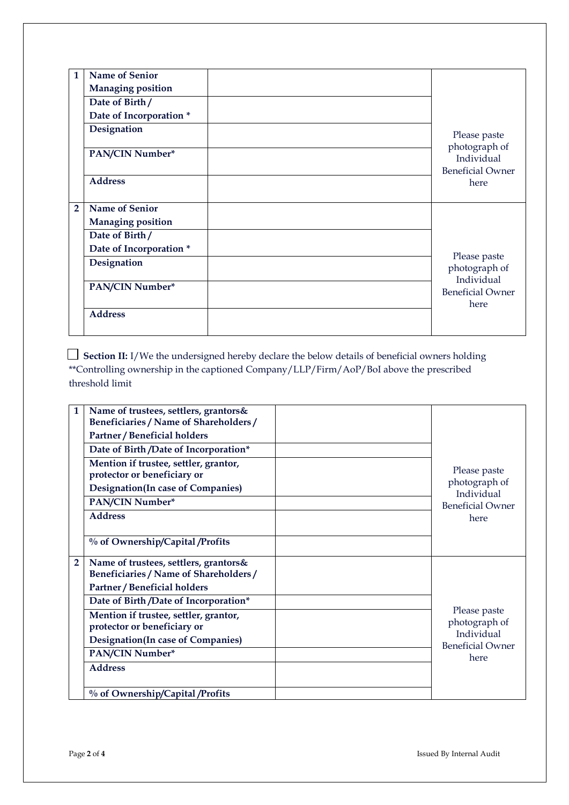| 1              | <b>Name of Senior</b>    |                                                        |
|----------------|--------------------------|--------------------------------------------------------|
|                | <b>Managing position</b> |                                                        |
|                | Date of Birth/           |                                                        |
|                | Date of Incorporation *  |                                                        |
|                | Designation              | Please paste                                           |
|                | PAN/CIN Number*          | photograph of<br>Individual<br><b>Beneficial Owner</b> |
|                | <b>Address</b>           | here                                                   |
| $\overline{2}$ | <b>Name of Senior</b>    |                                                        |
|                | <b>Managing position</b> |                                                        |
|                | Date of Birth/           |                                                        |
|                | Date of Incorporation *  |                                                        |
|                | Designation              | Please paste<br>photograph of<br>Individual            |
|                | PAN/CIN Number*          | <b>Beneficial Owner</b><br>here                        |
|                | <b>Address</b>           |                                                        |

 **Section II:** I/We the undersigned hereby declare the below details of beneficial owners holding \*\*Controlling ownership in the captioned Company/LLP/Firm/AoP/BoI above the prescribed threshold limit

| 1              | Name of trustees, settlers, grantors&<br>Beneficiaries / Name of Shareholders /<br><b>Partner / Beneficial holders</b> |                                       |
|----------------|------------------------------------------------------------------------------------------------------------------------|---------------------------------------|
|                | Date of Birth /Date of Incorporation*                                                                                  |                                       |
|                | Mention if trustee, settler, grantor,<br>protector or beneficiary or                                                   | Please paste                          |
|                | <b>Designation</b> (In case of Companies)                                                                              | photograph of<br>Individual           |
|                | PAN/CIN Number*                                                                                                        | <b>Beneficial Owner</b>               |
|                | <b>Address</b>                                                                                                         | here                                  |
|                | % of Ownership/Capital /Profits                                                                                        |                                       |
| $\overline{2}$ | Name of trustees, settlers, grantors&<br>Beneficiaries / Name of Shareholders /<br>Partner / Beneficial holders        |                                       |
|                | Date of Birth /Date of Incorporation*                                                                                  |                                       |
|                | Mention if trustee, settler, grantor,<br>protector or beneficiary or                                                   | Please paste<br>photograph of         |
|                | <b>Designation</b> (In case of Companies)                                                                              | Individual<br><b>Beneficial Owner</b> |
|                | PAN/CIN Number*                                                                                                        | here                                  |
|                | <b>Address</b>                                                                                                         |                                       |
|                | % of Ownership/Capital /Profits                                                                                        |                                       |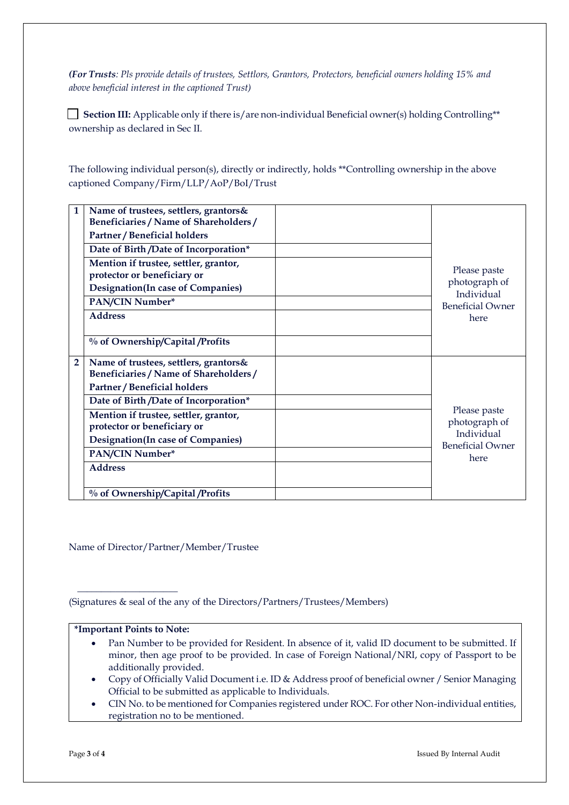*(For Trusts: Pls provide details of trustees, Settlors, Grantors, Protectors, beneficial owners holding 15% and above beneficial interest in the captioned Trust)*

Section III: Applicable only if there is/are non-individual Beneficial owner(s) holding Controlling\*\* ownership as declared in Sec II.

The following individual person(s), directly or indirectly, holds \*\*Controlling ownership in the above captioned Company/Firm/LLP/AoP/BoI/Trust

| 1 | Name of trustees, settlers, grantors&<br>Beneficiaries / Name of Shareholders /<br>Partner / Beneficial holders        |                                             |
|---|------------------------------------------------------------------------------------------------------------------------|---------------------------------------------|
|   | Date of Birth /Date of Incorporation*                                                                                  |                                             |
|   | Mention if trustee, settler, grantor,<br>protector or beneficiary or                                                   | Please paste                                |
|   | <b>Designation</b> (In case of Companies)                                                                              | photograph of<br>Individual                 |
|   | PAN/CIN Number*                                                                                                        | <b>Beneficial Owner</b>                     |
|   | <b>Address</b>                                                                                                         | here                                        |
|   | % of Ownership/Capital /Profits                                                                                        |                                             |
| 2 | Name of trustees, settlers, grantors&<br>Beneficiaries / Name of Shareholders /<br><b>Partner / Beneficial holders</b> |                                             |
|   | Date of Birth /Date of Incorporation*                                                                                  |                                             |
|   | Mention if trustee, settler, grantor,<br>protector or beneficiary or                                                   | Please paste<br>photograph of<br>Individual |
|   | <b>Designation</b> (In case of Companies)                                                                              | <b>Beneficial Owner</b>                     |
|   | PAN/CIN Number*                                                                                                        | here                                        |
|   | <b>Address</b>                                                                                                         |                                             |
|   | % of Ownership/Capital /Profits                                                                                        |                                             |

Name of Director/Partner/Member/Trustee

(Signatures & seal of the any of the Directors/Partners/Trustees/Members)

## **\*Important Points to Note:**

\_\_\_\_\_\_\_\_\_\_\_\_\_\_\_\_\_\_\_\_\_

- Pan Number to be provided for Resident. In absence of it, valid ID document to be submitted. If minor, then age proof to be provided. In case of Foreign National/NRI, copy of Passport to be additionally provided.
- Copy of Officially Valid Document i.e. ID & Address proof of beneficial owner / Senior Managing Official to be submitted as applicable to Individuals.
- CIN No. to be mentioned for Companies registered under ROC. For other Non-individual entities, registration no to be mentioned.